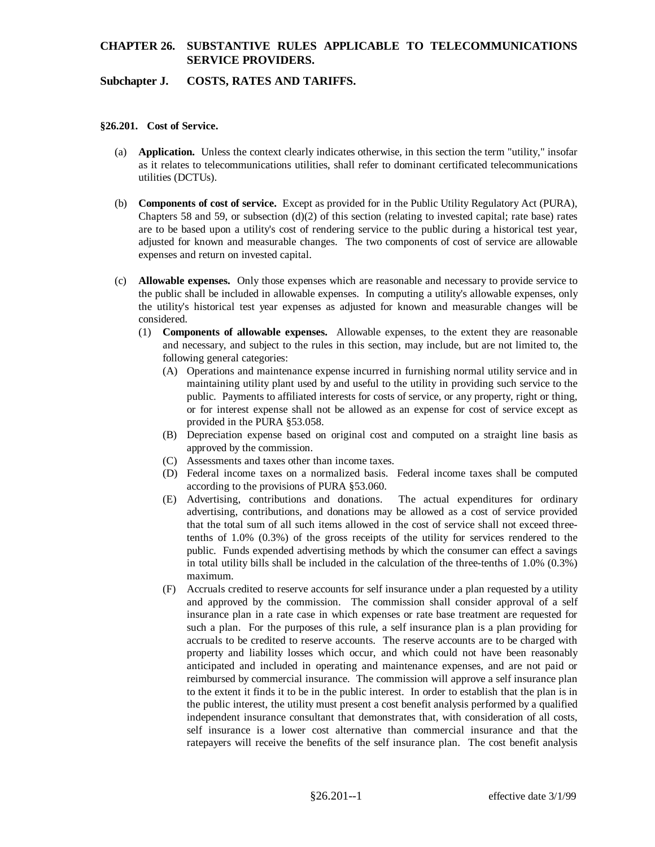## **Subchapter J. COSTS, RATES AND TARIFFS.**

#### **§26.201. Cost of Service.**

- (a) **Application.** Unless the context clearly indicates otherwise, in this section the term "utility," insofar as it relates to telecommunications utilities, shall refer to dominant certificated telecommunications utilities (DCTUs).
- (b) **Components of cost of service.** Except as provided for in the Public Utility Regulatory Act (PURA), Chapters 58 and 59, or subsection  $(d)(2)$  of this section (relating to invested capital; rate base) rates are to be based upon a utility's cost of rendering service to the public during a historical test year, adjusted for known and measurable changes. The two components of cost of service are allowable expenses and return on invested capital.
- (c) **Allowable expenses.** Only those expenses which are reasonable and necessary to provide service to the public shall be included in allowable expenses. In computing a utility's allowable expenses, only the utility's historical test year expenses as adjusted for known and measurable changes will be considered.
	- (1) **Components of allowable expenses.** Allowable expenses, to the extent they are reasonable and necessary, and subject to the rules in this section, may include, but are not limited to, the following general categories:
		- (A) Operations and maintenance expense incurred in furnishing normal utility service and in maintaining utility plant used by and useful to the utility in providing such service to the public. Payments to affiliated interests for costs of service, or any property, right or thing, or for interest expense shall not be allowed as an expense for cost of service except as provided in the PURA §53.058.
		- (B) Depreciation expense based on original cost and computed on a straight line basis as approved by the commission.
		- (C) Assessments and taxes other than income taxes.
		- (D) Federal income taxes on a normalized basis. Federal income taxes shall be computed according to the provisions of PURA §53.060.
		- (E) Advertising, contributions and donations. The actual expenditures for ordinary advertising, contributions, and donations may be allowed as a cost of service provided that the total sum of all such items allowed in the cost of service shall not exceed threetenths of 1.0% (0.3%) of the gross receipts of the utility for services rendered to the public. Funds expended advertising methods by which the consumer can effect a savings in total utility bills shall be included in the calculation of the three-tenths of 1.0% (0.3%) maximum.
		- (F) Accruals credited to reserve accounts for self insurance under a plan requested by a utility and approved by the commission. The commission shall consider approval of a self insurance plan in a rate case in which expenses or rate base treatment are requested for such a plan. For the purposes of this rule, a self insurance plan is a plan providing for accruals to be credited to reserve accounts. The reserve accounts are to be charged with property and liability losses which occur, and which could not have been reasonably anticipated and included in operating and maintenance expenses, and are not paid or reimbursed by commercial insurance. The commission will approve a self insurance plan to the extent it finds it to be in the public interest. In order to establish that the plan is in the public interest, the utility must present a cost benefit analysis performed by a qualified independent insurance consultant that demonstrates that, with consideration of all costs, self insurance is a lower cost alternative than commercial insurance and that the ratepayers will receive the benefits of the self insurance plan. The cost benefit analysis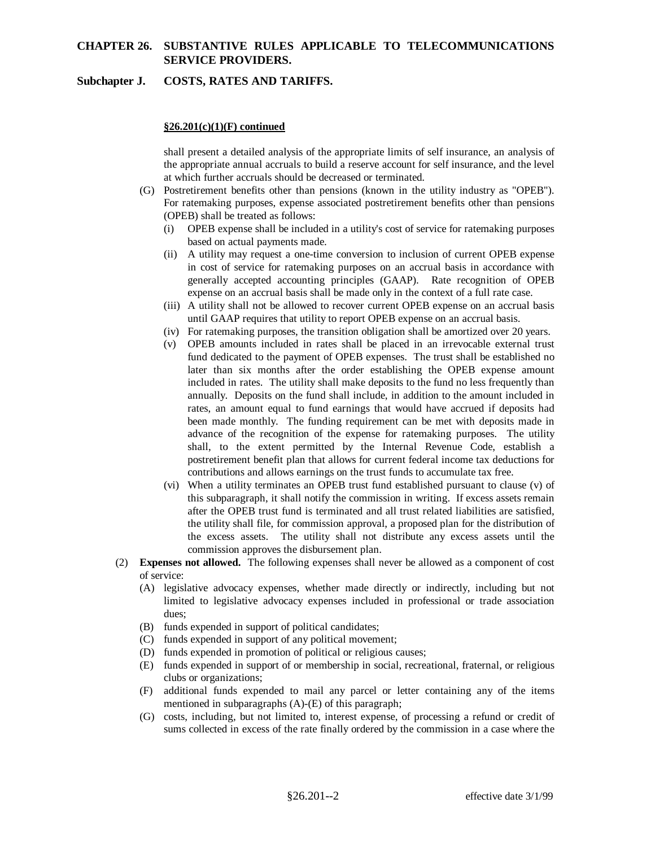## **Subchapter J. COSTS, RATES AND TARIFFS.**

#### **§26.201(c)(1)(F) continued**

shall present a detailed analysis of the appropriate limits of self insurance, an analysis of the appropriate annual accruals to build a reserve account for self insurance, and the level at which further accruals should be decreased or terminated.

- (G) Postretirement benefits other than pensions (known in the utility industry as "OPEB"). For ratemaking purposes, expense associated postretirement benefits other than pensions (OPEB) shall be treated as follows:
	- (i) OPEB expense shall be included in a utility's cost of service for ratemaking purposes based on actual payments made.
	- (ii) A utility may request a one-time conversion to inclusion of current OPEB expense in cost of service for ratemaking purposes on an accrual basis in accordance with generally accepted accounting principles (GAAP). Rate recognition of OPEB expense on an accrual basis shall be made only in the context of a full rate case.
	- (iii) A utility shall not be allowed to recover current OPEB expense on an accrual basis until GAAP requires that utility to report OPEB expense on an accrual basis.
	- (iv) For ratemaking purposes, the transition obligation shall be amortized over 20 years.
	- (v) OPEB amounts included in rates shall be placed in an irrevocable external trust fund dedicated to the payment of OPEB expenses. The trust shall be established no later than six months after the order establishing the OPEB expense amount included in rates. The utility shall make deposits to the fund no less frequently than annually. Deposits on the fund shall include, in addition to the amount included in rates, an amount equal to fund earnings that would have accrued if deposits had been made monthly. The funding requirement can be met with deposits made in advance of the recognition of the expense for ratemaking purposes. The utility shall, to the extent permitted by the Internal Revenue Code, establish a postretirement benefit plan that allows for current federal income tax deductions for contributions and allows earnings on the trust funds to accumulate tax free.
	- (vi) When a utility terminates an OPEB trust fund established pursuant to clause (v) of this subparagraph, it shall notify the commission in writing. If excess assets remain after the OPEB trust fund is terminated and all trust related liabilities are satisfied, the utility shall file, for commission approval, a proposed plan for the distribution of the excess assets. The utility shall not distribute any excess assets until the commission approves the disbursement plan.
- (2) **Expenses not allowed.** The following expenses shall never be allowed as a component of cost of service:
	- (A) legislative advocacy expenses, whether made directly or indirectly, including but not limited to legislative advocacy expenses included in professional or trade association dues;
	- (B) funds expended in support of political candidates;
	- (C) funds expended in support of any political movement;
	- (D) funds expended in promotion of political or religious causes;
	- (E) funds expended in support of or membership in social, recreational, fraternal, or religious clubs or organizations;
	- (F) additional funds expended to mail any parcel or letter containing any of the items mentioned in subparagraphs (A)-(E) of this paragraph;
	- (G) costs, including, but not limited to, interest expense, of processing a refund or credit of sums collected in excess of the rate finally ordered by the commission in a case where the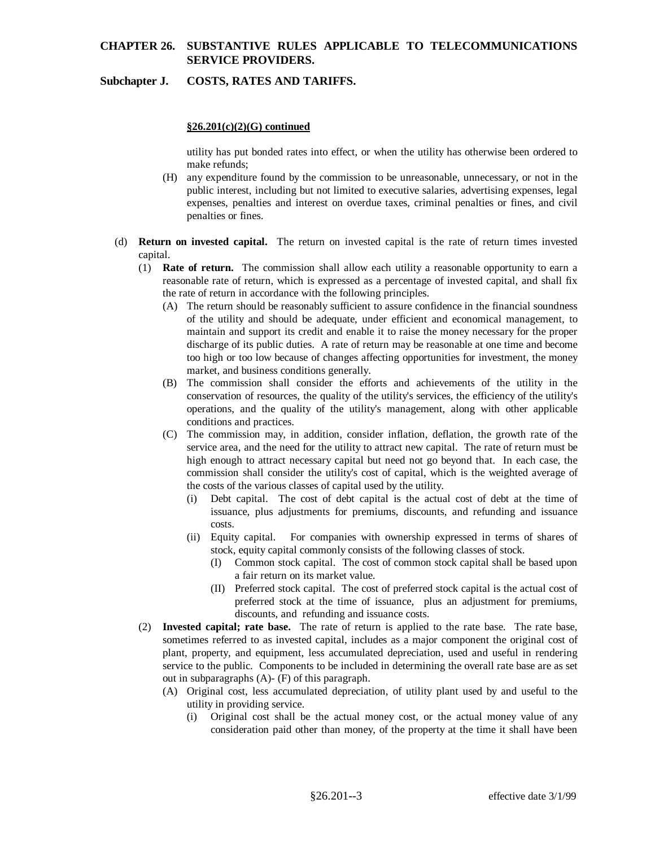## **Subchapter J. COSTS, RATES AND TARIFFS.**

#### **§26.201(c)(2)(G) continued**

utility has put bonded rates into effect, or when the utility has otherwise been ordered to make refunds;

- (H) any expenditure found by the commission to be unreasonable, unnecessary, or not in the public interest, including but not limited to executive salaries, advertising expenses, legal expenses, penalties and interest on overdue taxes, criminal penalties or fines, and civil penalties or fines.
- (d) **Return on invested capital.** The return on invested capital is the rate of return times invested capital.
	- (1) **Rate of return.** The commission shall allow each utility a reasonable opportunity to earn a reasonable rate of return, which is expressed as a percentage of invested capital, and shall fix the rate of return in accordance with the following principles.
		- (A) The return should be reasonably sufficient to assure confidence in the financial soundness of the utility and should be adequate, under efficient and economical management, to maintain and support its credit and enable it to raise the money necessary for the proper discharge of its public duties. A rate of return may be reasonable at one time and become too high or too low because of changes affecting opportunities for investment, the money market, and business conditions generally.
		- (B) The commission shall consider the efforts and achievements of the utility in the conservation of resources, the quality of the utility's services, the efficiency of the utility's operations, and the quality of the utility's management, along with other applicable conditions and practices.
		- (C) The commission may, in addition, consider inflation, deflation, the growth rate of the service area, and the need for the utility to attract new capital. The rate of return must be high enough to attract necessary capital but need not go beyond that. In each case, the commission shall consider the utility's cost of capital, which is the weighted average of the costs of the various classes of capital used by the utility.
			- (i) Debt capital. The cost of debt capital is the actual cost of debt at the time of issuance, plus adjustments for premiums, discounts, and refunding and issuance costs.
			- (ii) Equity capital. For companies with ownership expressed in terms of shares of stock, equity capital commonly consists of the following classes of stock.
				- (I) Common stock capital. The cost of common stock capital shall be based upon a fair return on its market value.
				- (II) Preferred stock capital. The cost of preferred stock capital is the actual cost of preferred stock at the time of issuance, plus an adjustment for premiums, discounts, and refunding and issuance costs.
	- (2) **Invested capital; rate base.** The rate of return is applied to the rate base. The rate base, sometimes referred to as invested capital, includes as a major component the original cost of plant, property, and equipment, less accumulated depreciation, used and useful in rendering service to the public. Components to be included in determining the overall rate base are as set out in subparagraphs (A)- (F) of this paragraph.
		- (A) Original cost, less accumulated depreciation, of utility plant used by and useful to the utility in providing service.
			- (i) Original cost shall be the actual money cost, or the actual money value of any consideration paid other than money, of the property at the time it shall have been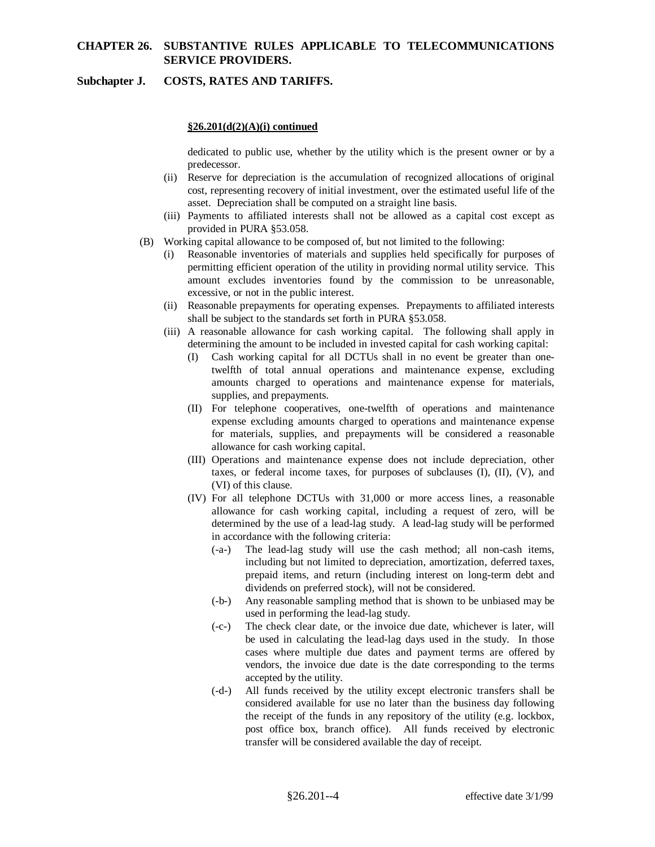## **Subchapter J. COSTS, RATES AND TARIFFS.**

## **§26.201(d(2)(A)(i) continued**

dedicated to public use, whether by the utility which is the present owner or by a predecessor.

- (ii) Reserve for depreciation is the accumulation of recognized allocations of original cost, representing recovery of initial investment, over the estimated useful life of the asset. Depreciation shall be computed on a straight line basis.
- (iii) Payments to affiliated interests shall not be allowed as a capital cost except as provided in PURA §53.058.
- (B) Working capital allowance to be composed of, but not limited to the following:
	- (i) Reasonable inventories of materials and supplies held specifically for purposes of permitting efficient operation of the utility in providing normal utility service. This amount excludes inventories found by the commission to be unreasonable, excessive, or not in the public interest.
	- (ii) Reasonable prepayments for operating expenses. Prepayments to affiliated interests shall be subject to the standards set forth in PURA §53.058.
	- (iii) A reasonable allowance for cash working capital. The following shall apply in determining the amount to be included in invested capital for cash working capital:
		- (I) Cash working capital for all DCTUs shall in no event be greater than onetwelfth of total annual operations and maintenance expense, excluding amounts charged to operations and maintenance expense for materials, supplies, and prepayments.
		- (II) For telephone cooperatives, one-twelfth of operations and maintenance expense excluding amounts charged to operations and maintenance expense for materials, supplies, and prepayments will be considered a reasonable allowance for cash working capital.
		- (III) Operations and maintenance expense does not include depreciation, other taxes, or federal income taxes, for purposes of subclauses (I), (II), (V), and (VI) of this clause.
		- (IV) For all telephone DCTUs with 31,000 or more access lines, a reasonable allowance for cash working capital, including a request of zero, will be determined by the use of a lead-lag study. A lead-lag study will be performed in accordance with the following criteria:
			- (-a-) The lead-lag study will use the cash method; all non-cash items, including but not limited to depreciation, amortization, deferred taxes, prepaid items, and return (including interest on long-term debt and dividends on preferred stock), will not be considered.
			- (-b-) Any reasonable sampling method that is shown to be unbiased may be used in performing the lead-lag study.
			- (-c-) The check clear date, or the invoice due date, whichever is later, will be used in calculating the lead-lag days used in the study. In those cases where multiple due dates and payment terms are offered by vendors, the invoice due date is the date corresponding to the terms accepted by the utility.
			- (-d-) All funds received by the utility except electronic transfers shall be considered available for use no later than the business day following the receipt of the funds in any repository of the utility (e.g. lockbox, post office box, branch office). All funds received by electronic transfer will be considered available the day of receipt.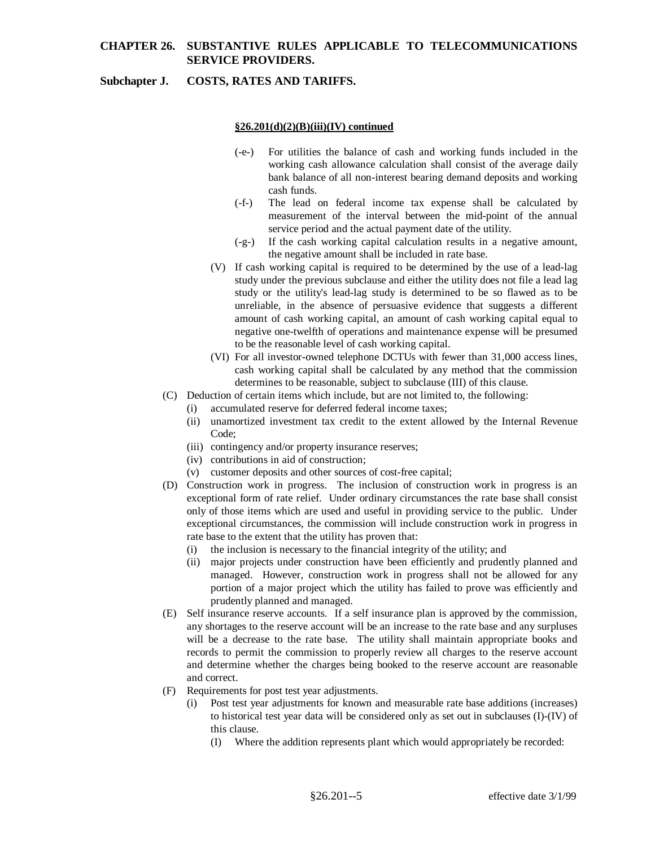### **Subchapter J. COSTS, RATES AND TARIFFS.**

#### **§26.201(d)(2)(B)(iii)(IV) continued**

- (-e-) For utilities the balance of cash and working funds included in the working cash allowance calculation shall consist of the average daily bank balance of all non-interest bearing demand deposits and working cash funds.
- (-f-) The lead on federal income tax expense shall be calculated by measurement of the interval between the mid-point of the annual service period and the actual payment date of the utility.
- (-g-) If the cash working capital calculation results in a negative amount, the negative amount shall be included in rate base.
- (V) If cash working capital is required to be determined by the use of a lead-lag study under the previous subclause and either the utility does not file a lead lag study or the utility's lead-lag study is determined to be so flawed as to be unreliable, in the absence of persuasive evidence that suggests a different amount of cash working capital, an amount of cash working capital equal to negative one-twelfth of operations and maintenance expense will be presumed to be the reasonable level of cash working capital.
- (VI) For all investor-owned telephone DCTUs with fewer than 31,000 access lines, cash working capital shall be calculated by any method that the commission determines to be reasonable, subject to subclause (III) of this clause.
- (C) Deduction of certain items which include, but are not limited to, the following:
	- (i) accumulated reserve for deferred federal income taxes;
	- (ii) unamortized investment tax credit to the extent allowed by the Internal Revenue Code;
	- (iii) contingency and/or property insurance reserves;
	- (iv) contributions in aid of construction;
	- (v) customer deposits and other sources of cost-free capital;
- (D) Construction work in progress. The inclusion of construction work in progress is an exceptional form of rate relief. Under ordinary circumstances the rate base shall consist only of those items which are used and useful in providing service to the public. Under exceptional circumstances, the commission will include construction work in progress in rate base to the extent that the utility has proven that:
	- (i) the inclusion is necessary to the financial integrity of the utility; and
	- (ii) major projects under construction have been efficiently and prudently planned and managed. However, construction work in progress shall not be allowed for any portion of a major project which the utility has failed to prove was efficiently and prudently planned and managed.
- (E) Self insurance reserve accounts. If a self insurance plan is approved by the commission, any shortages to the reserve account will be an increase to the rate base and any surpluses will be a decrease to the rate base. The utility shall maintain appropriate books and records to permit the commission to properly review all charges to the reserve account and determine whether the charges being booked to the reserve account are reasonable and correct.
- (F) Requirements for post test year adjustments.
	- Post test year adjustments for known and measurable rate base additions (increases) to historical test year data will be considered only as set out in subclauses (I)-(IV) of this clause.
		- (I) Where the addition represents plant which would appropriately be recorded: